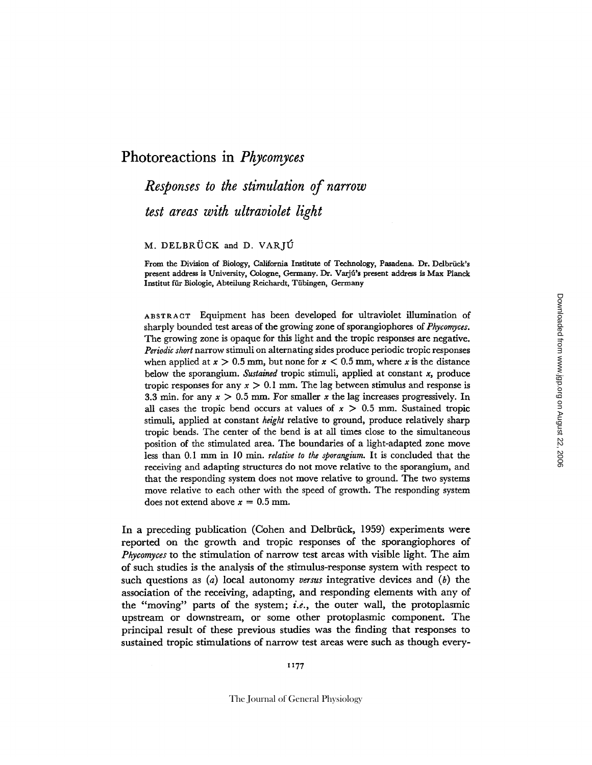## **Photoreactions in** *Phycomyces*

# *Responses to the stimulation of narrow test areas with ultraviolet light*

### M. DELBRÜCK and D. VARJU

From the Division of Biology, California Institute of Technology, Pasadena. Dr. Delbrück's present address is University, Cologne, Germany. Dr. Varjú's present address is Max Planck Institut für Biologie, Abteilung Reichardt, Tübingen, Germany

ABSTRAOT Equipment has been developed for ultraviolet illumination of sharply bounded test areas of the growing zone of sporangiophores of *Phycomyces.*  The growing zone is opaque for this light and the tropic responses are negative. *Periodic short* narrow stimuli on alternating sides produce periodic tropic responses when applied at  $x > 0.5$  mm, but none for  $x < 0.5$  mm, where x is the distance below the sporangium. *Sustained* tropic stimuli, applied at constant x, produce tropic responses for any  $x > 0.1$  mm. The lag between stimulus and response is 3.3 min. for any  $x > 0.5$  mm. For smaller x the lag increases progressively. In all cases the tropic bend occurs at values of  $x > 0.5$  mm. Sustained tropic stimuli, applied at constant *height* relative to ground, produce relatively sharp tropic bends. The center of the bend is at all times close to the simultaneous position of the stimulated area. The boundaries of a light-adapted zone move less than 0.1 mm in I0 min. *relative to the sporangiurn.* It is concluded that the receiving and adapting structures do not move relative to the sporangium, and that the responding system does not move relative to ground. The two systems move relative to each other with the speed of growth. The responding system does not extend above  $x = 0.5$  mm.

In a preceding publication (Cohen and Delbrück, 1959) experiments were reported on the growth and tropic responses of the sporangiophores of *Phycomyces* to the stimulation of narrow test areas with visible light. The aim of such studies is the analysis of the stimulus-response system with respect to such questions as (a) local autonomy *versus* integrative devices and (b) the association of the receiving, adapting, and responding elements with any of the "moving" parts of the system; *i.e., the* outer wall, the protoplasmic upstream or downstream, or some other protoplasmic component. The principal result of these previous studies was the finding that responses to sustained tropic stimulations of narrow test areas were such as though every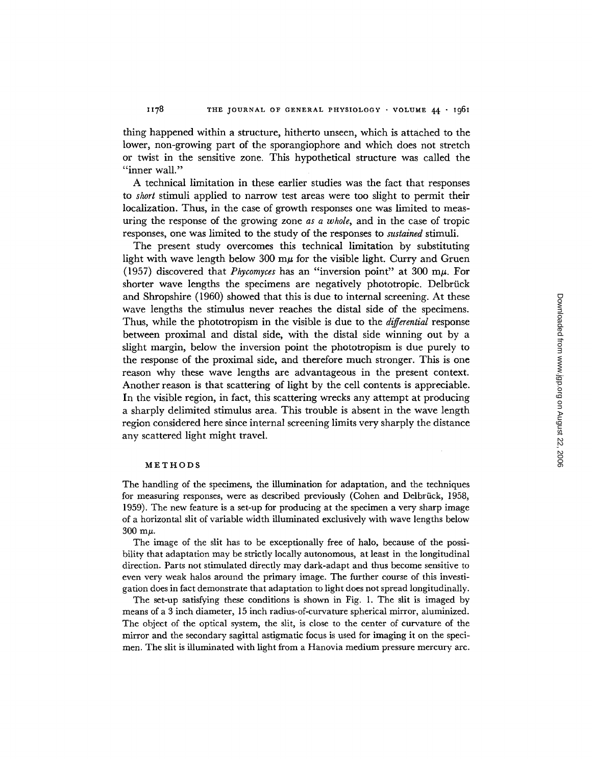thing happened within a structure, hitherto unseen, which is attached to the lower, non-growing part of the sporangiophore and which does not stretch or twist in the sensitive zone. This hypothetical structure was called the "inner wall."

A technical limitation in these earlier studies was the fact that responses to *short* stimuli applied to narrow test areas were too slight to permit their localization. Thus, in the case of growth responses one was limited to measuring the response of the growing zone *as a whole,* and in the case of tropic responses, one was limited to the study of the responses to *sustained* stimuli.

The present study overcomes this technical limitation by substituting light with wave length below 300  $m\mu$  for the visible light. Curry and Gruen (1957) discovered that *Phycomyces* has an "inversion point" at 300 m/z. For shorter wave lengths the specimens are negatively phototropic. Delbrück and Shropshire (1960) showed that this is due to internal screening. At these wave lengths the stimulus never reaches the distal side of the specimens. Thus, while the phototropism in the visible is due to the *differential* response between proximal and distal side, with the distal side winning out by a slight margin, below the inversion point the phototropism is due purely to the response of the proximal side, and therefore much stronger. This is one reason why these wave lengths are advantageous in the present context. Another reason is that scattering of light by the cell contents is appreciable. In the visible region, in fact, this scattering wrecks any attempt at producing a sharply delimited stimulus area. This trouble is absent in the wave length region considered here since internal screening limits very sharply the distance any scattered light might travel.

#### METHODS

The handling of the specimens, the illumination for adaptation, and the techniques for measuring responses, were as described previously (Cohen and Delbrück, 1958, 1959). The new feature is a set-up for producing at the specimen a very sharp image of a horizontal slit of variable width illuminated exclusively with wave lengths below  $300 \text{ m}\mu$ .

The image of the slit has to be exceptionally free of halo, because of the possibility that adaptation may be strictly locally autonomous, at least in the longitudinal direction. Parts not stimulated directly may dark-adapt and thus become sensitive to even very weak halos around the primary image. The further course of this investigation does in fact demonstrate that adaptation to light does not spread longitudinally.

The set-up satisfying these conditions is shown in Fig. 1. The slit is imaged by means of a 3 inch diameter, 15 inch radius-of-curvature spherical mirror, aluminized. The object of the optical system, the slit, is close to the center of curvature of the mirror and the secondary sagittal astigmatic focus is used for imaging it on the specimen. The slit is illuminated with light from a Hanovia medium pressure mercury arc.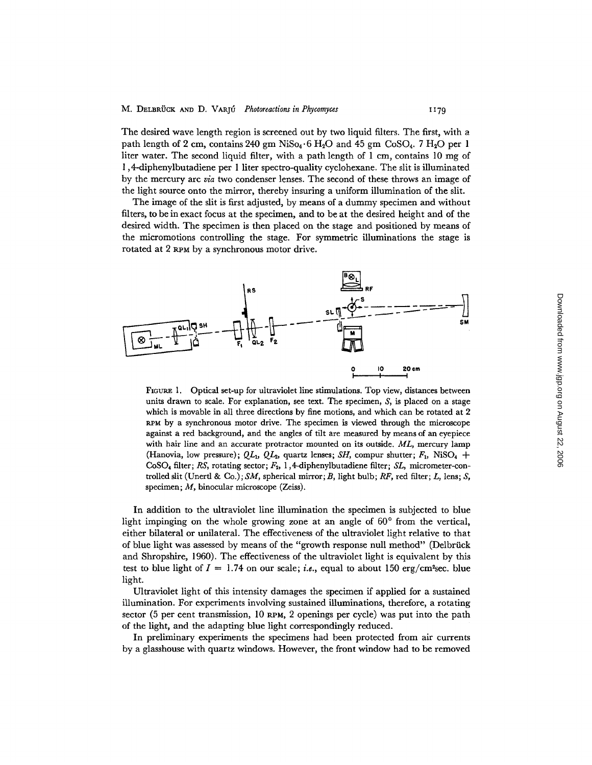The desired wave length region is screened out by two liquid filters. The first, with a path length of 2 cm, contains 240 gm NiSo<sub>4</sub>.6 H<sub>2</sub>O and 45 gm CoSO<sub>4</sub>. 7 H<sub>2</sub>O per 1 liter water. The second liquid filter, with a path length of 1 cm, contains 10 mg of 1,4-diphenylbutadiene per 1 liter spectro-quality cyclohexane. The slit is illuminated by the mercury arc *via* two condenser lenses. The second of these throws an image of the light source onto the mirror, thereby insuring a uniform illumination of the slit.

The image of the slit is first adjusted, by means of a dummy specimen and without filters, to be in exact focus at the specimen, and to be at the desired height and of the desired width. The specimen is then placed on the stage and positioned by means of the micromotions controlling the stage. For symmetric illuminations the stage is rotated at 2 RPM by a synchronous motor drive.



FIGURE 1. Optical set-up for ultraviolet line stimulations. Top view, distances between units drawn to scale. For explanation, see text. The specimen,  $S<sub>1</sub>$  is placed on a stage which is movable in all three directions by fine motions, and which can be rotated at 2 RPM by a synchronous motor drive. The specimen is viewed through the microscope against a red background, and the angles of tilt are measured by means of an eyepiece with hair line and an accurate protractor mounted on its outside. *ML,* mercury lamp (Hanovia, low pressure);  $QL_1$ ,  $QL_2$ , quartz lenses; *SH*, compur shutter;  $F_1$ , NiSO<sub>4</sub> +  $CoSO<sub>4</sub>$  filter; RS, rotating sector;  $F<sub>2</sub>$ , 1,4-diphenylbutadiene filter; *SL*, micrometer-controlled slit (Unertl & Co.); SM, spherical mirror; B, light bulb; RF, red filter; L, lens; S, specimen; M, binocular microscope (Zeiss).

In addition to the ultraviolet line illumination the specimen is subjected to blue light impinging on the whole growing zone at an angle of  $60^{\circ}$  from the vertical, either bilateral or unilateral. The effectiveness of the ultraviolet light relative to that of blue light was assessed by means of the "growth response null method" (Delbrück and Shropshire, 1960). The effectiveness of the ultraviolet light is equivalent by this test to blue light of  $I = 1.74$  on our scale; *i.e.*, equal to about 150 erg/cm<sup>2</sup>sec. blue light.

Ultraviolet light of this intensity damages the specimen if applied for a sustained illumination. For experiments involving sustained illuminations, therefore, a rotating sector (5 per cent transmission, 10 RPM, 2 openings per cycle) was put into the path of the light, and the adapting blue light correspondingly reduced.

In preliminary experiments the specimens had been protected from air currents by a glasshouse with quartz windows. However, the front window had to be removed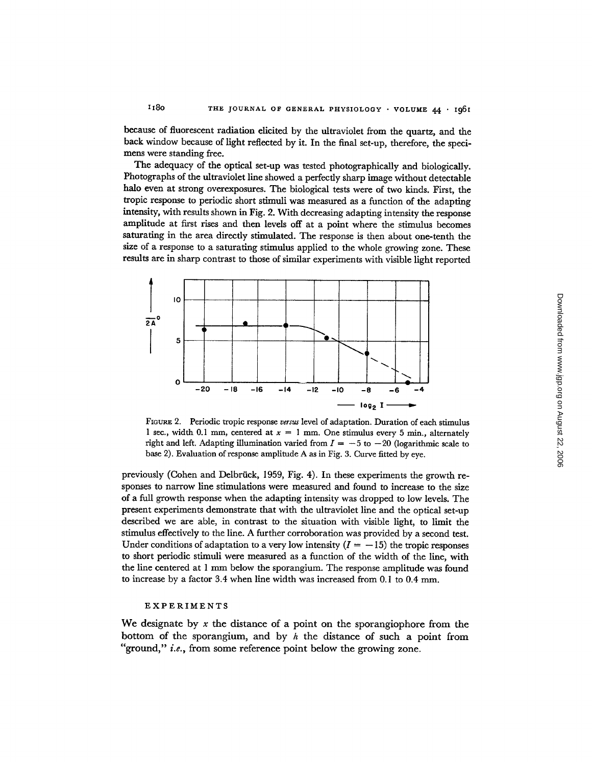because of fluorescent radiation elicited by the ultraviolet from the quartz, and the back window because of light reflected by it. In the final set-up, therefore, the specimens were standing free.

The adequacy of the optical set-up was tested photographically and biologically. Photographs of the ultraviolet line showed a perfectly sharp image without detectable halo even at strong overexposures. The biological tests were of two kinds. First, the tropic response to periodic short stimuli was measured as a function of the adapting intensity, with results shown in Fig. 2. With decreasing adapting intensity the response amplitude at first rises and then levels off at a point where the stimulus becomes saturating in the area directly stimulated. The response is then about one-tenth the size of a response to a saturating stimulus applied to the whole growing zone. These results are in sharp contrast to those of similar experiments with visible light reported



FIGURE 2. Periodic tropic response *versus* level of adaptation. Duration of each stimulus 1 sec., width 0.1 mm, centered at  $x = 1$  mm. One stimulus every 5 min., alternately right and left. Adapting illumination varied from  $I = -5$  to  $-20$  (logarithmic scale to base 2). Evaluation of response amplitude A as in Fig. 3. Curve fitted by eye.

previously (Cohen and Delbrtick, 1959, Fig. 4). In these experiments the growth responses to narrow line stimulations were measured and found to increase to the size of a full growth response when the adapting intensity was dropped to low levels. The present experiments demonstrate that with the ultraviolet line and the optical set-up described we are able, in contrast to the situation with visible light, to limit the stimulus effectively to the line. A further corroboration was provided by a second test. Under conditions of adaptation to a very low intensity  $(I = -15)$  the tropic responses to short periodic stimuli were measured as a function of the width of the line, with the line centered at 1 mm below the sporangium. The response amplitude was found to increase by a factor 3.4 when line width was increased from 0. I to 0.4 mm.

#### EXPERIMENTS

We designate by x the distance of a point on the sporangiophore from the bottom of the sporangium, and by  $h$  the distance of such a point from "ground," *i.e.,* from some reference point below the growing zone.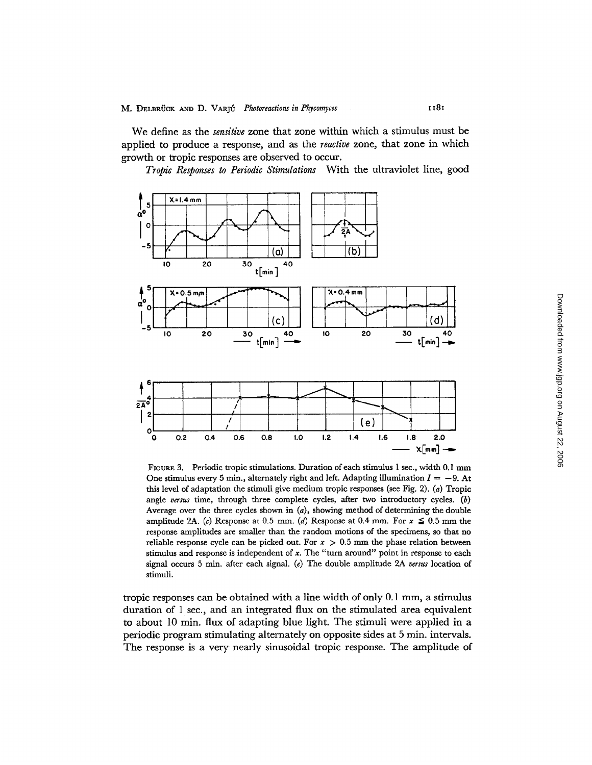We define as the *sensitive* zone that zone within which a stimulus must be applied to produce a response, and as the *reactive* zone, that zone in which growth or tropic responses are observed to occur.

*Tropic Responses to Periodic Stimulations* With the ultraviolet line, good



FIGURE 3. Periodic tropic stimulations. Duration of each stimulus 1 sec., width 0.1 mm One stimulus every 5 min., alternately right and left. Adapting illumination  $I = -9$ . At this level of adaptation the stimuli give medium tropic responses (see Fig. 2). (a) Tropic angle *versus* time, through three complete cycles, after two introductory cycles. (b) Average over the three cycles shown in  $(a)$ , showing method of determining the double amplitude 2A. (c) Response at 0.5 mm. (d) Response at 0.4 mm. For  $x \le 0.5$  mm the response amplitudes are smaller than the random motions of the specimens, so that no reliable response cycle can be picked out. For  $x > 0.5$  mm the phase relation between stimulus and response is independent of  $x$ . The "turn around" point in response to each signal occurs 5 min. after each signal. (e) The double amplitude 2A *versus* location of stimuli.

tropic responses can be obtained with a line width of only 0.1 mm, a stimulus duration of 1 see., and an integrated flux on the stimulated area equivalent to about 10 min. flux of adapting blue light. The stimuli were applied in a periodic program stimulating alternately on opposite sides at 5 min. intervals. The response is a very nearly sinusoidal tropic response. The amplitude of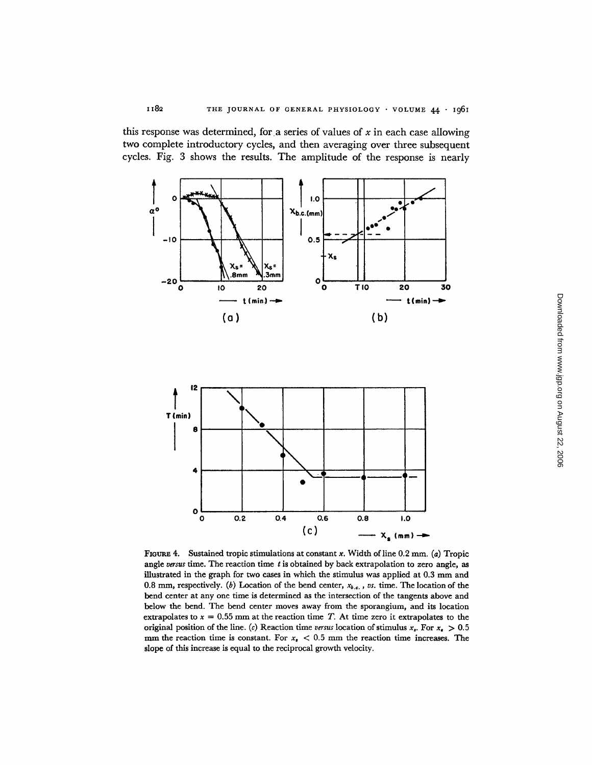this response was determined, for a series of values of  $x$  in each case allowing two complete introductory cycles, and then averaging over three subsequent cycles. Fig. 3 shows the results. The amplitude of the response is nearly



FIGURE 4. Sustained tropic stimulations at constant x. Width of line  $0.2$  mm. (a) Tropic angle versus time. The reaction time  $t$  is obtained by back extrapolation to zero angle, as illustrated in the graph for two cases in which the stimulus was applied at 0.3 mm and 0.8 mm, respectively. (b) Location of the bend center, *Xb .... VS.* time. The location of the bend center at any one time is determined as the intersection of the tangents above and below the bend. The bend center moves away from the sporangium, and its location extrapolates to  $x = 0.55$  mm at the reaction time T. At time zero it extrapolates to the original position of the line. (c) Reaction time versus location of stimulus  $x<sub>s</sub>$ . For  $x<sub>s</sub> > 0.5$ mm the reaction time is constant. For  $x<sub>i</sub> < 0.5$  mm the reaction time increases. The slope of this increase is equal to the reciprocal growth velocity.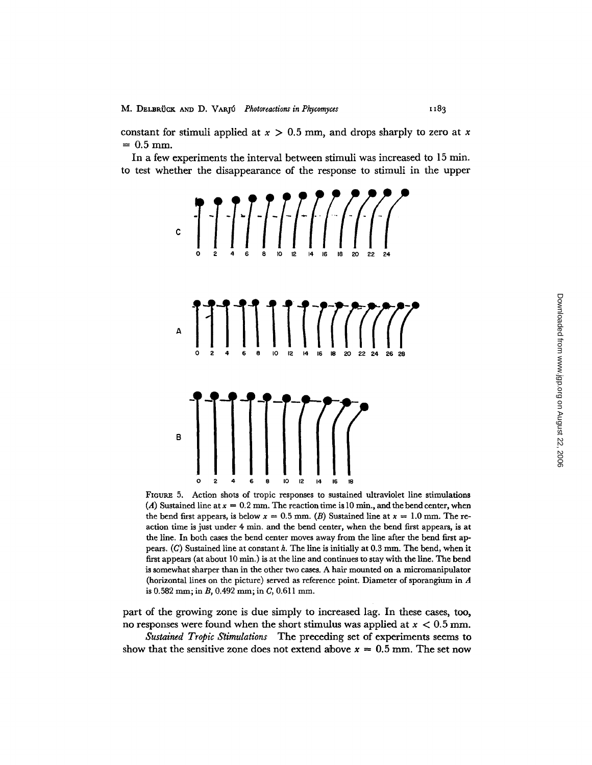constant for stimuli applied at  $x > 0.5$  mm, and drops sharply to zero at x  $= 0.5$  mm.

In a few experiments the interval between stimuli was increased to 15 min. to test whether the disappearance of the response to stimuli in the upper



FIGURE 5. Action shots of tropic responses to sustained ultraviolet line stimulations (A) Sustained line at  $x = 0.2$  mm. The reaction time is 10 min., and the bend center, when the bend first appears, is below  $x = 0.5$  mm. (B) Sustained line at  $x = 1.0$  mm. The reaction time is just under 4 min. and the bend center, when the bend first appears, is at the line. In both cases the bend center moves away from the line after the bend first appears.  $(C)$  Sustained line at constant h. The line is initially at 0.3 mm. The bend, when it first appears (at about  $10 \text{ min.}$ ) is at the line and continues to stay with the line. The bend is somewhat sharper than in the other two cases. A hair mounted on a micromanipulator (horizontal lines on the picture) served as reference point. Diameter of sporangium in A is 0.582 ram; in *B,* 0.492 mm; in *C,* 0.611 mm.

part of the growing zone is due simply to increased lag. In these cases, too, no responses were found when the short stimulus was applied at  $x < 0.5$  mm.

*Sustained Tropic Stimulations* The preceding set of experiments seems to show that the sensitive zone does not extend above  $x = 0.5$  mm. The set now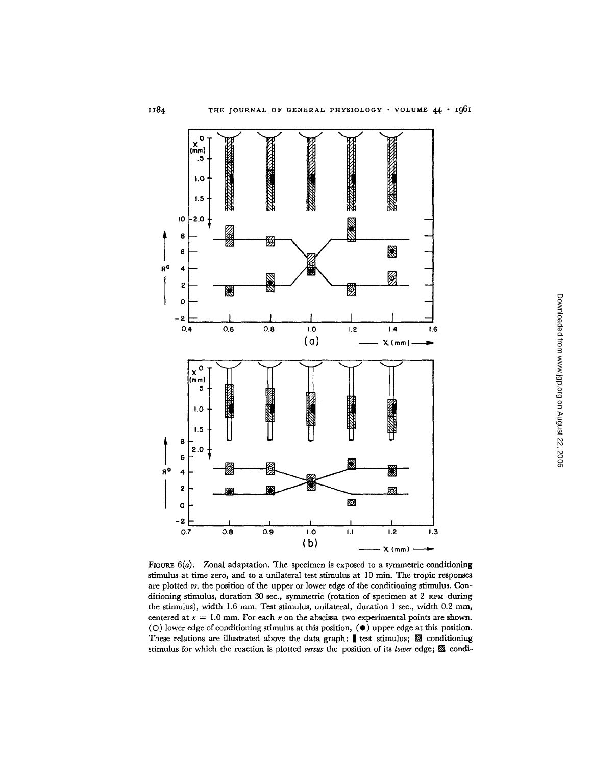

FIGURE  $6(a)$ . Zonal adaptation. The specimen is exposed to a symmetric conditioning stimulus at time zero, and to a unilateral test stimulus at 10 min. The tropic responses are plotted *vs.* the position of the upper or lower edge of the conditioning stimulus. Conditioning stimulus, duration 30 see., symmetric (rotation of specimen at 2 RPM during the stimulus), width 1.6 mm. Test stimulus, unilateral, duration 1 sec., width 0.2 mm, centered at  $x = 1.0$  mm. For each x on the abscissa two experimental points are shown.  $(O)$  lower edge of conditioning stimulus at this position,  $(O)$  upper edge at this position. These relations are illustrated above the data graph: test stimulus; 22 conditioning stimulus for which the reaction is plotted *versus* the position of its *lower* edge; [] condi-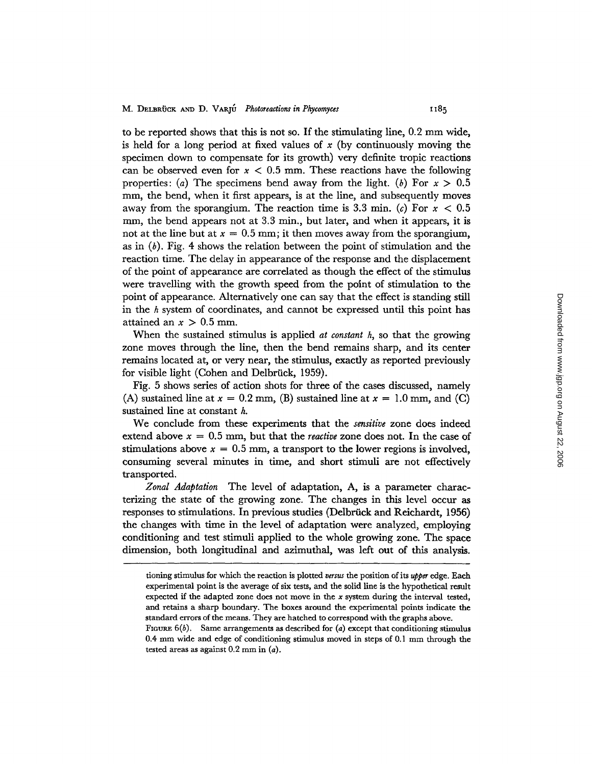to be reported shows that this is not so. If the stimulating line, 0.2 mm wide, is held for a long period at fixed values of x (by continuously moving the specimen down to compensate for its growth) very definite tropic reactions can be observed even for  $x < 0.5$  mm. These reactions have the following properties: (a) The specimens bend away from the light. (b) For  $x > 0.5$ mm, the bend, when it first appears, is at the line, and subsequently moves away from the sporangium. The reaction time is 3.3 min. (c) For  $x < 0.5$ mm, the bend appears not at 3.3 min., but later, and when it appears, it is not at the line but at  $x = 0.5$  mm; it then moves away from the sporangium, as in (b). Fig. 4 shows the relation between the point of stimulation and the reaction time. The delay in appearance of the response and the displacement of the point of appearance are correlated as though the effect of the stimulus were travelling with the growth speed from the point of stimulation to the point of appearance. Alternatively one can say that the effect is standing still in the h system of coordinates, and cannot be expressed until this point has attained an  $x > 0.5$  mm.

When the sustained stimulus is applied *at constant h,* so that the growing zone moves through the line, then the bend remains sharp, and its center remains located at, or very near, the stimulus, exactly as reported previously for visible light (Cohen and Delbrück, 1959).

Fig. 5 shows series of action shots for three of the cases discussed, namely (A) sustained line at  $x = 0.2$  mm, (B) sustained line at  $x = 1.0$  mm, and (C) sustained line at constant h.

We conclude from these experiments that the *sensitive* zone does indeed extend above  $x = 0.5$  mm, but that the *reactive* zone does not. In the case of stimulations above  $x = 0.5$  mm, a transport to the lower regions is involved, consuming several minutes in time, and short stimuli are not effectively transported.

*Zonal Adaptation* The level of adaptation, A, is a parameter characterizing the state of the growing zone. The changes in this level occur as responses to stimulations. In previous studies (Delbrück and Reichardt, 1956) the changes with time in the level of adaptation were analyzed, employing conditioning and test stimuli applied to the whole growing zone. The space dimension, both longitudinal and azimuthal, was left out of this analysis.

tioning stimulus for which the reaction is plotted *versus the* position of its *upper* edge. Each experimental point is the average of six tests, and the solid line is the hypothetical result expected if the adapted zone does not move in the  $x$  system during the interval tested, and retains a sharp boundary. The boxes around the experimental points indicate the standard errors of the means. They are hatched to correspond with the graphs above.

FIGURE  $6(b)$ . Same arrangements as described for (a) except that conditioning stimulus 0.4 mm wide and edge of conditioning stimulus moved in steps of 0.1 mm through the tested areas as against 0.2 mm in (a).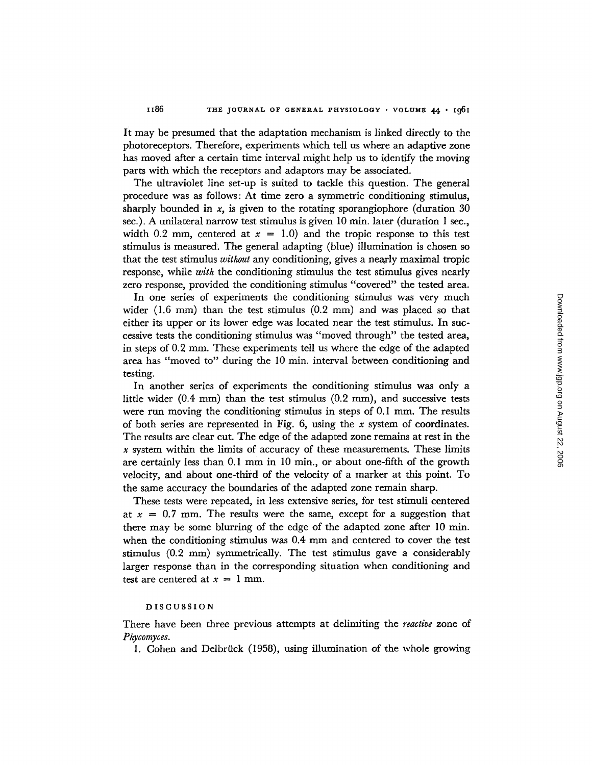It may be presumed that the adaptation mechanism is linked directly to the photoreceptors. Therefore, experiments which tell us where an adaptive zone has moved after a certain time interval might help us to identify the moving parts with which the receptors and adaptors may be associated.

The ultraviolet line set-up is suited to tackle this question. The general procedure was as follows: At time zero a symmetric conditioning stimulus, sharply bounded in  $x$ , is given to the rotating sporangiophore (duration 30) see.). A unilateral narrow test stimulus is given 10 min. later (duration 1 see., width 0.2 mm, centered at  $x = 1.0$  and the tropic response to this test stimulus is measured. The general adapting (blue) illumination is chosen so that the test stimulus *without* any conditioning, gives a nearly maximal tropic response, while *with* the conditioning stimulus the test stimulus gives nearly zero response, provided the conditioning stimulus "covered" the tested area.

In one series of experiments the conditioning stimulus was very much wider (1.6 mm) than the test stimulus (0.2 mm) and was placed so that either its upper or its lower edge was located near the test stimulus. In suecessive tests the conditioning stimulus was "moved through" the tested area, in steps of 0.2 mm. These experiments tell us where the edge of the adapted area has "moved to" during the 10 min. interval between conditioning and testing.

In another series of experiments the conditioning stimulus was only a little wider  $(0.4 \text{ mm})$  than the test stimulus  $(0.2 \text{ mm})$ , and successive tests were run moving the conditioning stimulus in steps of  $0.1$  mm. The results of both series are represented in Fig.  $6$ , using the x system of coordinates. The results are clear cut. The edge of the adapted zone remains at rest in the  $x$  system within the limits of accuracy of these measurements. These limits are certainly less than 0.1 mm in 10 min., or about one-fifth of the growth velocity, and about one-third of the velocity of a marker at this point. To the same accuracy the boundaries of the adapted zone remain sharp.

These tests were repeated, in less extensive series, for test stimuli centered at  $x = 0.7$  mm. The results were the same, except for a suggestion that there may be some blurring of the edge of the adapted zone after 10 min. when the conditioning stimulus was 0.4 mm and centered to cover the test stimulus  $(0.2 \text{ mm})$  symmetrically. The test stimulus gave a considerably larger response than in the corresponding situation when conditioning and test are centered at  $x = 1$  mm.

#### DISCUSSION

There have been three previous attempts at delimiting the *reactive* zone of *Phycomyces.* 

1. Cohen and Delbrück (1958), using illumination of the whole growing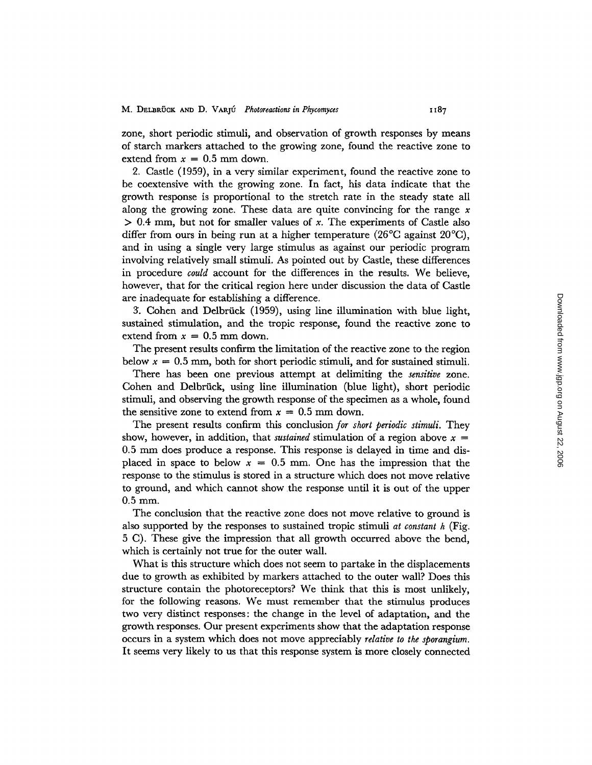zone, short periodic stimuli, and observation of growth responses by means of starch markers attached to the growing zone, found the reactive zone to extend from  $x = 0.5$  mm down.

2. Castle (1959), in a very similar experiment, found the reactive zone to be coextensive with the growing zone. In fact, his data indicate that the growth response is proportional to the stretch rate in the steady state all along the growing zone. These data are quite convincing for the range  $x$  $> 0.4$  mm, but not for smaller values of x. The experiments of Castle also differ from ours in being run at a higher temperature (26<sup>o</sup>C against 20<sup>o</sup>C), and in using a single very large stimulus as against our periodic program involving relatively small stimuli. As pointed out by Castle, these differences in procedure *could* account for the differences in the results. We believe, however, that for the critical region here under discussion the data of Castle are inadequate for establishing a difference.

3. Cohen and Delbrück (1959), using line illumination with blue light, sustained stimulation, and the tropic response, found the reactive zone to extend from  $x = 0.5$  mm down.

The present results confirm the limitation of the reactive zone to the region below  $x = 0.5$  mm, both for short periodic stimuli, and for sustained stimuli.

There has been one previous attempt at delimiting the *sensitive* zone. Cohen and Delbrück, using line illumination (blue light), short periodic stimuli, and observing the growth response of the specimen as a whole, found the sensitive zone to extend from  $x = 0.5$  mm down.

The present results confirm this conclusion *for short periodic stimuli.* They show, however, in addition, that *sustained* stimulation of a region above  $x =$ 0.5 mm does produce a response. This response is delayed in time and displaced in space to below  $x = 0.5$  mm. One has the impression that the response to the stimulus is stored in a structure which does not move relative to ground, and which cannot show the response until it is out of the upper  $0.5$  mm.

The conclusion that the reactive zone does not move relative to ground is also supported by the responses to sustained tropic stimuli *at constant h* (Fig. 5 C). These give the impression that all growth occurred above the bend, which is certainly not true for the outer wall.

What is this structure which does not seem to partake in the displacements due to growth as exhibited by markers attached to the outer wall? Does this structure contain the photoreceptors? We think that this is most unlikely, for the following reasons. We must remember that the stimulus produces two very distinct responses: the change in the level of adaptation, and the growth responses. Our present experiments show that the adaptation response occurs in a system which does not move appreciably *relative to the sporangium.*  It seems very likely to us that this response system is more closely connected